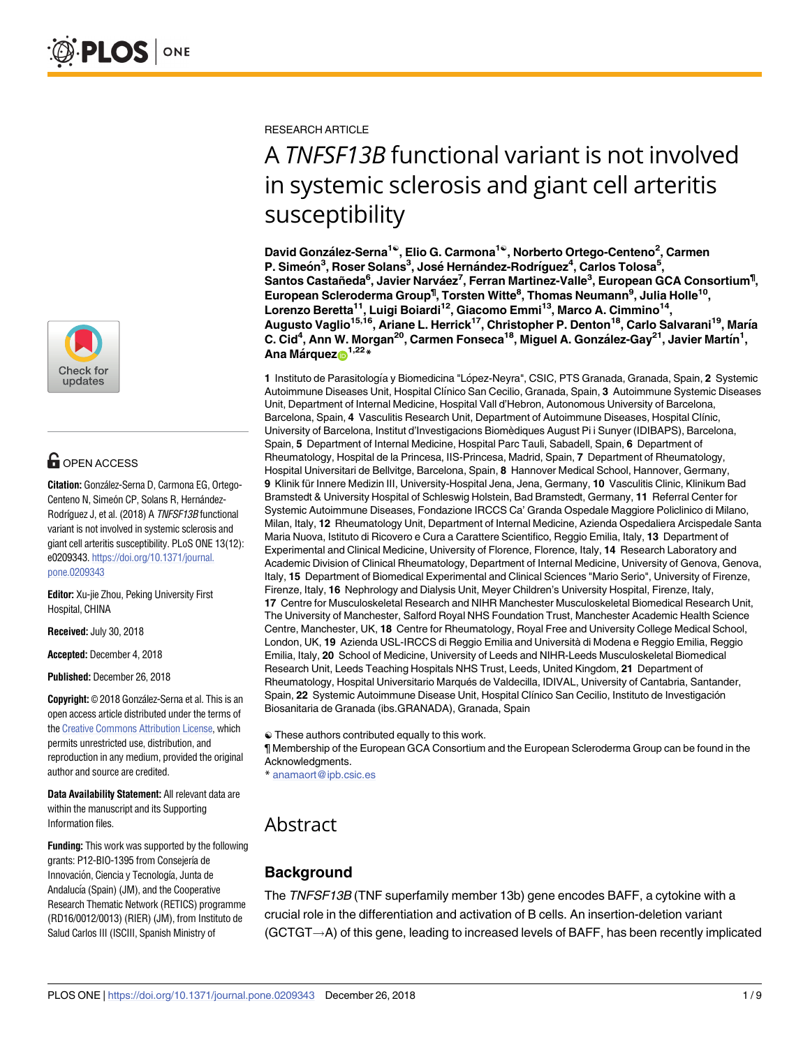

# **G** OPEN ACCESS

**Citation:** González-Serna D, Carmona EG, Ortego-Centeno N, Simeón CP, Solans R, Hernández-Rodríguez J, et al. (2018) A TNFSF13B functional variant is not involved in systemic sclerosis and giant cell arteritis susceptibility. PLoS ONE 13(12): e0209343. [https://doi.org/10.1371/journal.](https://doi.org/10.1371/journal.pone.0209343) [pone.0209343](https://doi.org/10.1371/journal.pone.0209343)

**Editor:** Xu-jie Zhou, Peking University First Hospital, CHINA

**Received:** July 30, 2018

**Accepted:** December 4, 2018

**Published:** December 26, 2018

**Copyright:** © 2018 González-Serna et al. This is an open access article distributed under the terms of the Creative [Commons](http://creativecommons.org/licenses/by/4.0/) Attribution License, which permits unrestricted use, distribution, and reproduction in any medium, provided the original author and source are credited.

**Data Availability Statement:** All relevant data are within the manuscript and its Supporting Information files.

**Funding:** This work was supported by the following grants: P12-BIO-1395 from Consejería de Innovación, Ciencia y Tecnología, Junta de Andalucía (Spain) (JM), and the Cooperative Research Thematic Network (RETICS) programme (RD16/0012/0013) (RIER) (JM), from Instituto de Salud Carlos III (ISCIII, Spanish Ministry of

RESEARCH ARTICLE

# A *TNFSF13B* functional variant is not involved in systemic sclerosis and giant cell arteritis susceptibility

**David Gonza´lez-Serna1**☯**, Elio G. Carmona1**☯**, Norberto Ortego-Centeno2 , Carmen P. Simeo´n3 , Roser Solans3 , Jose´ Herna´ndez-Rodrı´guez4 , Carlos Tolosa5 , Santos Castañeda6 , Javier Narva´ez7 , Ferran Martinez-Valle3 , European GCA Consortium¶ , European Scleroderma Group¶ , Torsten Witte8 , Thomas Neumann9 , Julia Holle10, Lorenzo Beretta11, Luigi Boiardi12, Giacomo Emmi13, Marco A. Cimmino14, Augusto Vaglio15,16, Ariane L. Herrick17, Christopher P. Denton18, Carlo Salvarani19, Marı´a C. Cid4 , Ann W. Morgan20, Carmen Fonseca18, Miguel A. Gonza´lez-Gay21, Javier Martı´n1 , Ana Ma´rque[zID1](http://orcid.org/0000-0001-9913-7688),22\***

1 Instituto de Parasitología y Biomedicina "López-Neyra", CSIC, PTS Granada, Granada, Spain, 2 Systemic Autoimmune Diseases Unit, Hospital Clı´nico San Cecilio, Granada, Spain, **3** Autoimmune Systemic Diseases Unit, Department of Internal Medicine, Hospital Vall d'Hebron, Autonomous University of Barcelona, Barcelona, Spain, 4 Vasculitis Research Unit, Department of Autoimmune Diseases, Hospital Clínic, University of Barcelona, Institut d'Investigacions Biomèdiques August Pi i Sunyer (IDIBAPS), Barcelona, Spain, **5** Department of Internal Medicine, Hospital Parc Tauli, Sabadell, Spain, **6** Department of Rheumatology, Hospital de la Princesa, IIS-Princesa, Madrid, Spain, **7** Department of Rheumatology, Hospital Universitari de Bellvitge, Barcelona, Spain, **8** Hannover Medical School, Hannover, Germany, **9** Klinik für Innere Medizin III, University-Hospital Jena, Jena, Germany, 10 Vasculitis Clinic, Klinikum Bad Bramstedt & University Hospital of Schleswig Holstein, Bad Bramstedt, Germany, **11** Referral Center for Systemic Autoimmune Diseases, Fondazione IRCCS Ca' Granda Ospedale Maggiore Policlinico di Milano, Milan, Italy, **12** Rheumatology Unit, Department of Internal Medicine, Azienda Ospedaliera Arcispedale Santa Maria Nuova, Istituto di Ricovero e Cura a Carattere Scientifico, Reggio Emilia, Italy, **13** Department of Experimental and Clinical Medicine, University of Florence, Florence, Italy, **14** Research Laboratory and Academic Division of Clinical Rheumatology, Department of Internal Medicine, University of Genova, Genova, Italy, **15** Department of Biomedical Experimental and Clinical Sciences "Mario Serio", University of Firenze, Firenze, Italy, **16** Nephrology and Dialysis Unit, Meyer Children's University Hospital, Firenze, Italy, **17** Centre for Musculoskeletal Research and NIHR Manchester Musculoskeletal Biomedical Research Unit, The University of Manchester, Salford Royal NHS Foundation Trust, Manchester Academic Health Science Centre, Manchester, UK, **18** Centre for Rheumatology, Royal Free and University College Medical School, London, UK, **19** Azienda USL-IRCCS di Reggio Emilia and Università di Modena e Reggio Emilia, Reggio Emilia, Italy, **20** School of Medicine, University of Leeds and NIHR-Leeds Musculoskeletal Biomedical Research Unit, Leeds Teaching Hospitals NHS Trust, Leeds, United Kingdom, **21** Department of Rheumatology, Hospital Universitario Marqués de Valdecilla, IDIVAL, University of Cantabria, Santander, Spain, 22 Systemic Autoimmune Disease Unit, Hospital Clínico San Cecilio, Instituto de Investigación Biosanitaria de Granada (ibs.GRANADA), Granada, Spain

☯ These authors contributed equally to this work.

¶ Membership of the European GCA Consortium and the European Scleroderma Group can be found in the Acknowledgments.

\* anamaort@ipb.csic.es

## Abstract

## **Background**

The TNFSF13B (TNF superfamily member 13b) gene encodes BAFF, a cytokine with a crucial role in the differentiation and activation of B cells. An insertion-deletion variant  $(GCTGT \rightarrow A)$  of this gene, leading to increased levels of BAFF, has been recently implicated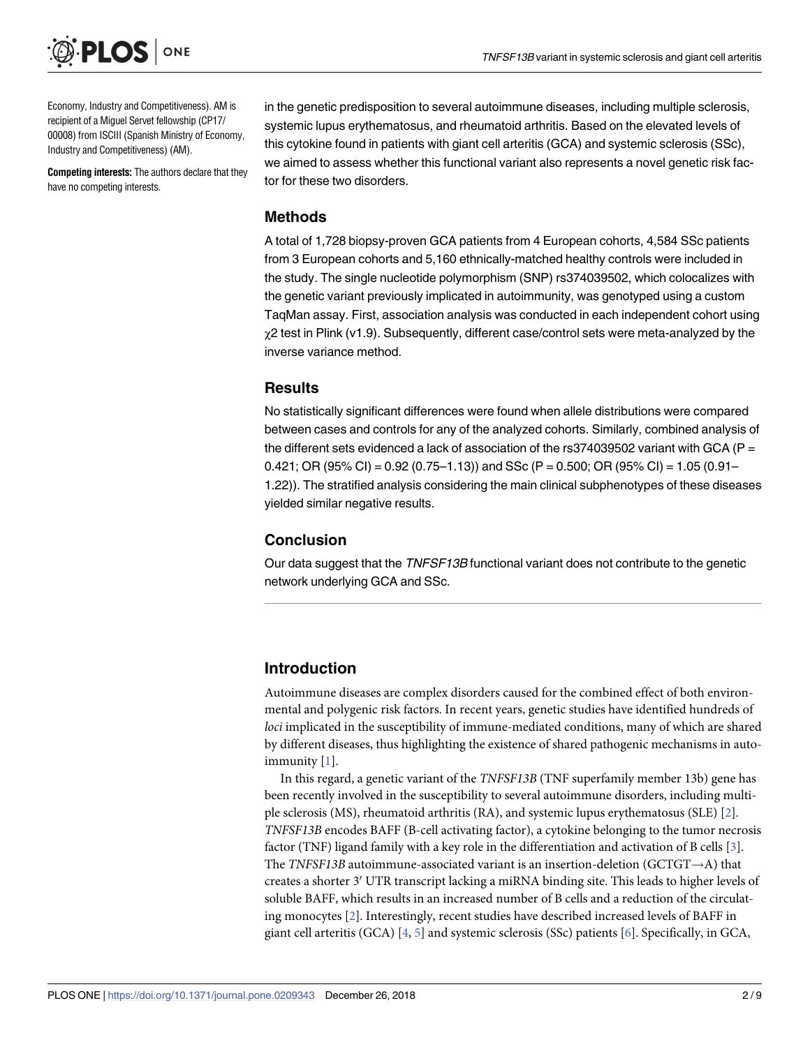<span id="page-1-0"></span>

Economy, Industry and Competitiveness). AM is recipient of a Miguel Servet fellowship (CP17/ 00008) from ISCIII (Spanish Ministry of Economy, Industry and Competitiveness) (AM).

**Competing interests:** The authors declare that they have no competing interests.

in the genetic predisposition to several autoimmune diseases, including multiple sclerosis, systemic lupus erythematosus, and rheumatoid arthritis. Based on the elevated levels of this cytokine found in patients with giant cell arteritis (GCA) and systemic sclerosis (SSc), we aimed to assess whether this functional variant also represents a novel genetic risk factor for these two disorders.

#### **Methods**

A total of 1,728 biopsy-proven GCA patients from 4 European cohorts, 4,584 SSc patients from 3 European cohorts and 5,160 ethnically-matched healthy controls were included in the study. The single nucleotide polymorphism (SNP) rs374039502, which colocalizes with the genetic variant previously implicated in autoimmunity, was genotyped using a custom TaqMan assay. First, association analysis was conducted in each independent cohort using χ2 test in Plink (v1.9). Subsequently, different case/control sets were meta-analyzed by the inverse variance method.

#### **Results**

No statistically significant differences were found when allele distributions were compared between cases and controls for any of the analyzed cohorts. Similarly, combined analysis of the different sets evidenced a lack of association of the rs374039502 variant with GCA (P = 0.421; OR (95% CI) = 0.92 (0.75–1.13)) and SSc (P = 0.500; OR (95% CI) = 1.05 (0.91– 1.22)). The stratified analysis considering the main clinical subphenotypes of these diseases yielded similar negative results.

#### **Conclusion**

Our data suggest that the TNFSF13B functional variant does not contribute to the genetic network underlying GCA and SSc.

## **Introduction**

Autoimmune diseases are complex disorders caused for the combined effect of both environmental and polygenic risk factors. In recent years, genetic studies have identified hundreds of *loci* implicated in the susceptibility of immune-mediated conditions, many of which are shared by different diseases, thus highlighting the existence of shared pathogenic mechanisms in autoimmunity [[1](#page-7-0)].

In this regard, a genetic variant of the *TNFSF13B* (TNF superfamily member 13b) gene has been recently involved in the susceptibility to several autoimmune disorders, including multiple sclerosis (MS), rheumatoid arthritis (RA), and systemic lupus erythematosus (SLE) [\[2\]](#page-7-0). *TNFSF13B* encodes BAFF (B-cell activating factor), a cytokine belonging to the tumor necrosis factor (TNF) ligand family with a key role in the differentiation and activation of B cells [\[3\]](#page-7-0). The *TNFSF13B* autoimmune-associated variant is an insertion-deletion (GCTGT $\rightarrow$ A) that creates a shorter 3' UTR transcript lacking a miRNA binding site. This leads to higher levels of soluble BAFF, which results in an increased number of B cells and a reduction of the circulating monocytes [\[2\]](#page-7-0). Interestingly, recent studies have described increased levels of BAFF in giant cell arteritis (GCA)  $[4, 5]$  $[4, 5]$  $[4, 5]$  $[4, 5]$  and systemic sclerosis (SSc) patients  $[6]$  $[6]$ . Specifically, in GCA,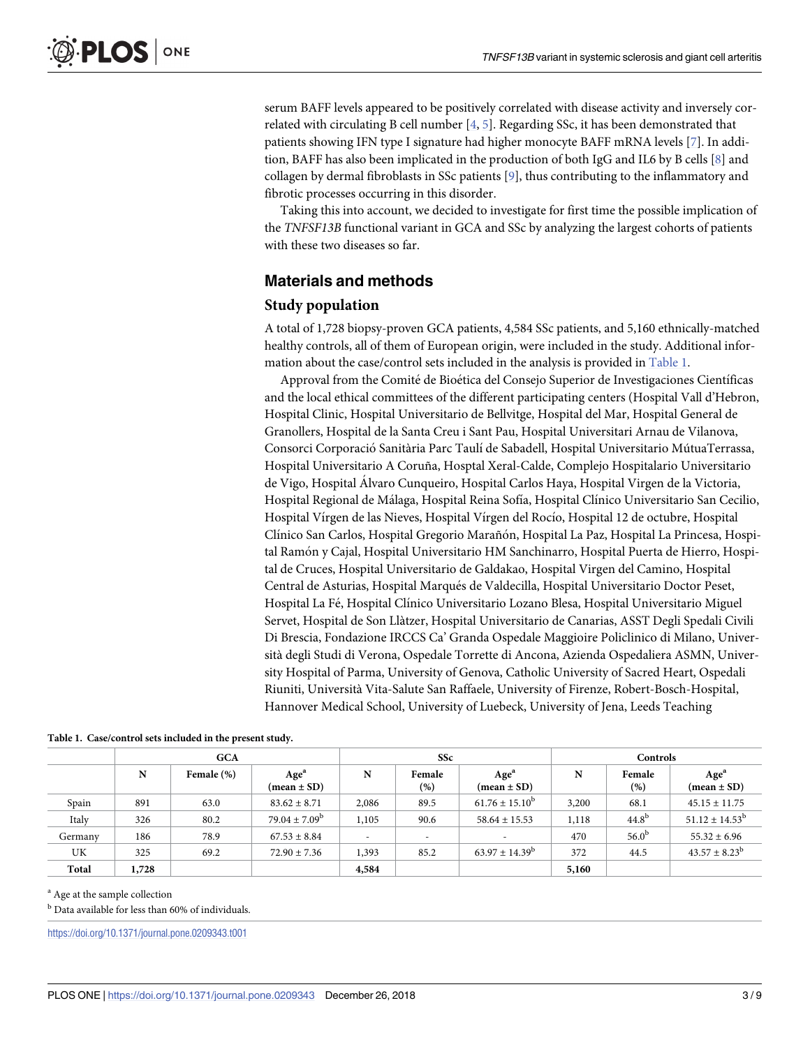<span id="page-2-0"></span>serum BAFF levels appeared to be positively correlated with disease activity and inversely correlated with circulating B cell number [[4](#page-7-0), [5](#page-7-0)]. Regarding SSc, it has been demonstrated that patients showing IFN type I signature had higher monocyte BAFF mRNA levels [\[7\]](#page-7-0). In addition, BAFF has also been implicated in the production of both IgG and IL6 by B cells [[8](#page-7-0)] and collagen by dermal fibroblasts in SSc patients [\[9](#page-7-0)], thus contributing to the inflammatory and fibrotic processes occurring in this disorder.

Taking this into account, we decided to investigate for first time the possible implication of the *TNFSF13B* functional variant in GCA and SSc by analyzing the largest cohorts of patients with these two diseases so far.

#### **Materials and methods**

#### **Study population**

A total of 1,728 biopsy-proven GCA patients, 4,584 SSc patients, and 5,160 ethnically-matched healthy controls, all of them of European origin, were included in the study. Additional information about the case/control sets included in the analysis is provided in Table 1.

Approval from the Comité de Bioética del Consejo Superior de Investigaciones Científicas and the local ethical committees of the different participating centers (Hospital Vall d'Hebron, Hospital Clinic, Hospital Universitario de Bellvitge, Hospital del Mar, Hospital General de Granollers, Hospital de la Santa Creu i Sant Pau, Hospital Universitari Arnau de Vilanova, Consorci Corporació Sanitària Parc Taulí de Sabadell, Hospital Universitario MútuaTerrassa, Hospital Universitario A Coruña, Hosptal Xeral-Calde, Complejo Hospitalario Universitario de Vigo, Hospital A´lvaro Cunqueiro, Hospital Carlos Haya, Hospital Virgen de la Victoria, Hospital Regional de Málaga, Hospital Reina Sofía, Hospital Clínico Universitario San Cecilio, Hospital Vírgen de las Nieves, Hospital Vírgen del Rocío, Hospital 12 de octubre, Hospital Clínico San Carlos, Hospital Gregorio Marañón, Hospital La Paz, Hospital La Princesa, Hospital Ramón y Cajal, Hospital Universitario HM Sanchinarro, Hospital Puerta de Hierro, Hospital de Cruces, Hospital Universitario de Galdakao, Hospital Virgen del Camino, Hospital Central de Asturias, Hospital Marqués de Valdecilla, Hospital Universitario Doctor Peset, Hospital La Fé, Hospital Clínico Universitario Lozano Blesa, Hospital Universitario Miguel Servet, Hospital de Son Llàtzer, Hospital Universitario de Canarias, ASST Degli Spedali Civili Di Brescia, Fondazione IRCCS Ca' Granda Ospedale Maggioire Policlinico di Milano, Università degli Studi di Verona, Ospedale Torrette di Ancona, Azienda Ospedaliera ASMN, University Hospital of Parma, University of Genova, Catholic University of Sacred Heart, Ospedali Riuniti, Università Vita-Salute San Raffaele, University of Firenze, Robert-Bosch-Hospital, Hannover Medical School, University of Luebeck, University of Jena, Leeds Teaching

|         | <b>GCA</b> |            | <b>SSc</b>                                        |                          |                  | Controls                                          |       |                   |                                                   |
|---------|------------|------------|---------------------------------------------------|--------------------------|------------------|---------------------------------------------------|-------|-------------------|---------------------------------------------------|
|         | N          | Female (%) | Age <sup>a</sup><br>$(\text{mean} \pm \text{SD})$ | N                        | Female<br>$(\%)$ | Age <sup>a</sup><br>$(\text{mean} \pm \text{SD})$ | N     | Female<br>(%)     | Age <sup>a</sup><br>$(\text{mean} \pm \text{SD})$ |
| Spain   | 891        | 63.0       | $83.62 \pm 8.71$                                  | 2,086                    | 89.5             | $61.76 \pm 15.10^b$                               | 3,200 | 68.1              | $45.15 \pm 11.75$                                 |
| Italy   | 326        | 80.2       | $79.04 \pm 7.09^b$                                | 1,105                    | 90.6             | $58.64 \pm 15.53$                                 | 1,118 | 44.8 <sup>b</sup> | $51.12 \pm 14.53$ <sup>b</sup>                    |
| Germany | 186        | 78.9       | $67.53 \pm 8.84$                                  | $\overline{\phantom{a}}$ |                  | $\overline{\phantom{a}}$                          | 470   | 56.0 <sup>b</sup> | $55.32 \pm 6.96$                                  |
| UK      | 325        | 69.2       | $72.90 \pm 7.36$                                  | 1,393                    | 85.2             | $63.97 \pm 14.39^b$                               | 372   | 44.5              | $43.57 \pm 8.23^{\rm b}$                          |
| Total   | 1,728      |            |                                                   | 4,584                    |                  |                                                   | 5,160 |                   |                                                   |

**Table 1. Case/control sets included in the present study.**

<sup>a</sup> Age at the sample collection

 $<sup>b</sup>$  Data available for less than 60% of individuals.</sup>

<https://doi.org/10.1371/journal.pone.0209343.t001>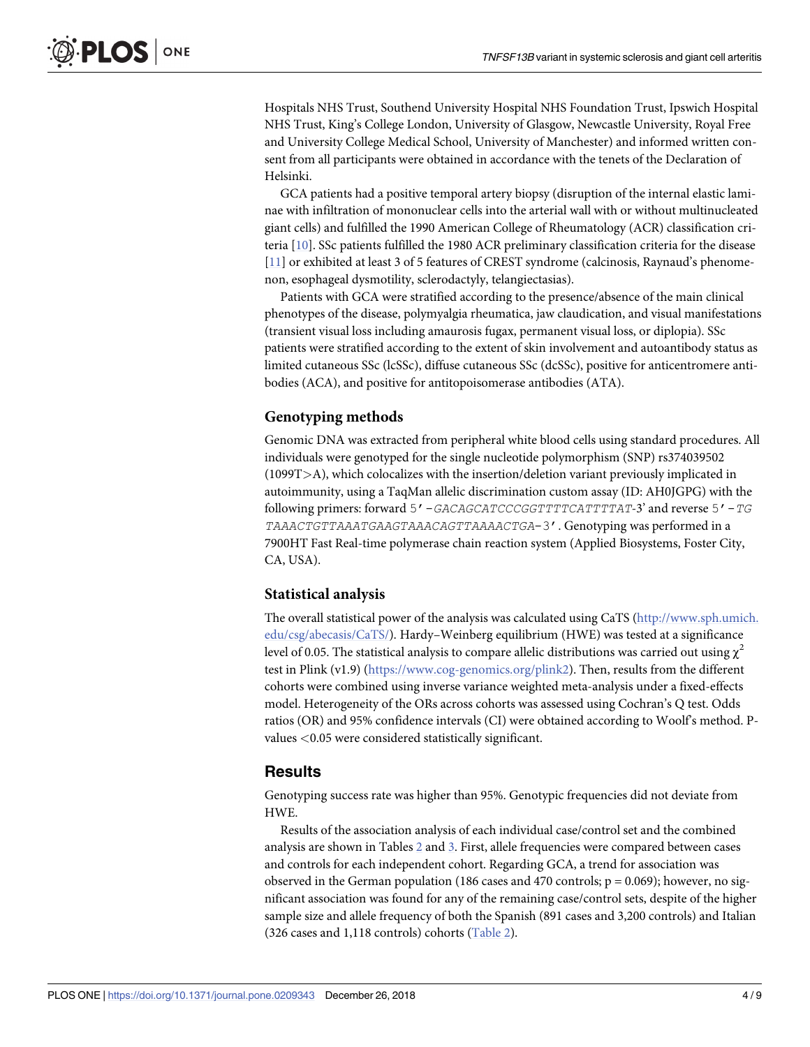<span id="page-3-0"></span>Hospitals NHS Trust, Southend University Hospital NHS Foundation Trust, Ipswich Hospital NHS Trust, King's College London, University of Glasgow, Newcastle University, Royal Free and University College Medical School, University of Manchester) and informed written consent from all participants were obtained in accordance with the tenets of the Declaration of Helsinki.

GCA patients had a positive temporal artery biopsy (disruption of the internal elastic laminae with infiltration of mononuclear cells into the arterial wall with or without multinucleated giant cells) and fulfilled the 1990 American College of Rheumatology (ACR) classification criteria [[10](#page-7-0)]. SSc patients fulfilled the 1980 ACR preliminary classification criteria for the disease [\[11\]](#page-8-0) or exhibited at least 3 of 5 features of CREST syndrome (calcinosis, Raynaud's phenomenon, esophageal dysmotility, sclerodactyly, telangiectasias).

Patients with GCA were stratified according to the presence/absence of the main clinical phenotypes of the disease, polymyalgia rheumatica, jaw claudication, and visual manifestations (transient visual loss including amaurosis fugax, permanent visual loss, or diplopia). SSc patients were stratified according to the extent of skin involvement and autoantibody status as limited cutaneous SSc (lcSSc), diffuse cutaneous SSc (dcSSc), positive for anticentromere antibodies (ACA), and positive for antitopoisomerase antibodies (ATA).

#### **Genotyping methods**

Genomic DNA was extracted from peripheral white blood cells using standard procedures. All individuals were genotyped for the single nucleotide polymorphism (SNP) rs374039502 (1099T*>*A), which colocalizes with the insertion/deletion variant previously implicated in autoimmunity, using a TaqMan allelic discrimination custom assay (ID: AH0JGPG) with the following primers: forward 5'-*GACAGCATCCCGGTTTTCATTTTAT*-3' and reverse 5'-*TG TAAACTGTTAAATGAAGTAAACAGTTAAAACTGA*-3'. Genotyping was performed in a 7900HT Fast Real-time polymerase chain reaction system (Applied Biosystems, Foster City, CA, USA).

#### **Statistical analysis**

The overall statistical power of the analysis was calculated using CaTS ([http://www.sph.umich.](http://www.sph.umich.edu/csg/abecasis/CaTS/) [edu/csg/abecasis/CaTS/](http://www.sph.umich.edu/csg/abecasis/CaTS/)). Hardy–Weinberg equilibrium (HWE) was tested at a significance level of 0.05. The statistical analysis to compare allelic distributions was carried out using  $\chi^2$ test in Plink (v1.9) [\(https://www.cog-genomics.org/plink2](https://www.cog-genomics.org/plink2)). Then, results from the different cohorts were combined using inverse variance weighted meta-analysis under a fixed-effects model. Heterogeneity of the ORs across cohorts was assessed using Cochran's Q test. Odds ratios (OR) and 95% confidence intervals (CI) were obtained according to Woolf's method. Pvalues *<*0.05 were considered statistically significant.

#### **Results**

Genotyping success rate was higher than 95%. Genotypic frequencies did not deviate from HWE.

Results of the association analysis of each individual case/control set and the combined analysis are shown in Tables [2](#page-4-0) and [3.](#page-4-0) First, allele frequencies were compared between cases and controls for each independent cohort. Regarding GCA, a trend for association was observed in the German population (186 cases and 470 controls;  $p = 0.069$ ); however, no significant association was found for any of the remaining case/control sets, despite of the higher sample size and allele frequency of both the Spanish (891 cases and 3,200 controls) and Italian (326 cases and 1,118 controls) cohorts ([Table](#page-4-0) 2).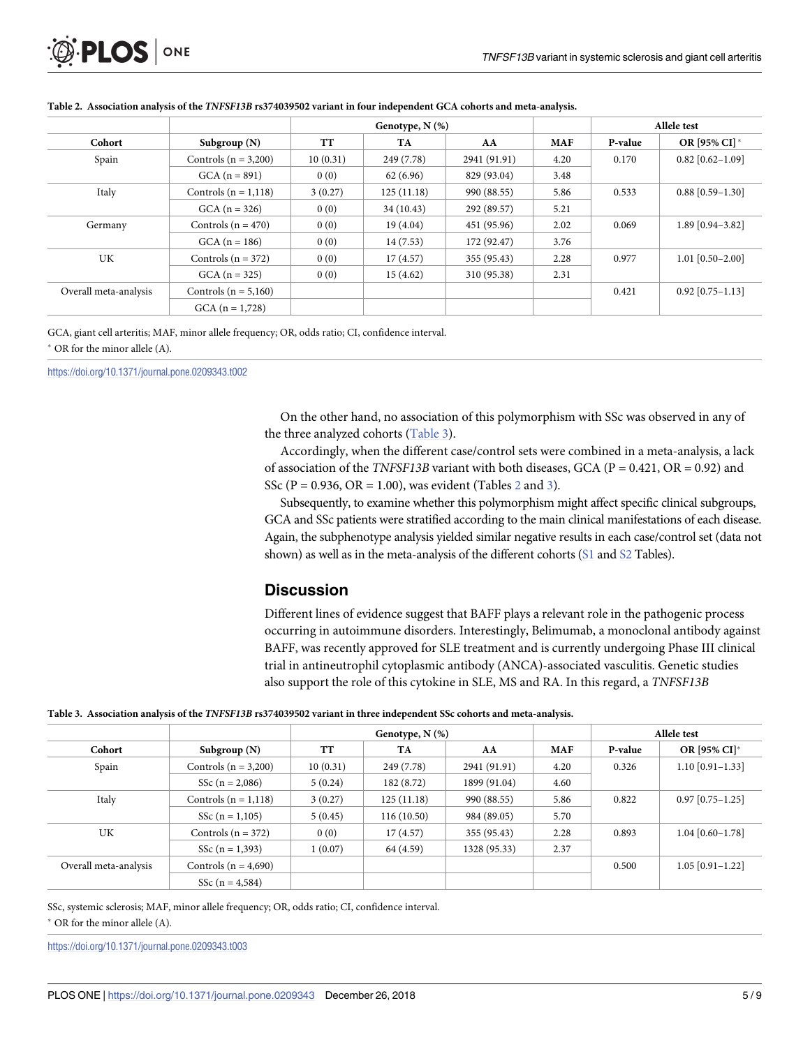<span id="page-4-0"></span>

|                       |                          | Genotype, $N$ $(\%)$ |            |              |            | Allele test |                    |
|-----------------------|--------------------------|----------------------|------------|--------------|------------|-------------|--------------------|
| Cohort                | Subgroup $(N)$           | <b>TT</b>            | TA         | AA           | <b>MAF</b> | P-value     | OR [95% CI]*       |
| Spain                 | Controls $(n = 3,200)$   | 10(0.31)             | 249 (7.78) | 2941 (91.91) | 4.20       | 0.170       | $0.82$ [0.62-1.09] |
|                       | $GCA (n = 891)$          | 0(0)                 | 62(6.96)   | 829 (93.04)  | 3.48       |             |                    |
| Italy                 | Controls $(n = 1,118)$   | 3(0.27)              | 125(11.18) | 990 (88.55)  | 5.86       | 0.533       | $0.88$ [0.59-1.30] |
|                       | $GCA (n = 326)$          | 0(0)                 | 34(10.43)  | 292 (89.57)  | 5.21       |             |                    |
| Germany               | Controls $(n = 470)$     | 0(0)                 | 19(4.04)   | 451 (95.96)  | 2.02       | 0.069       | $1.89$ [0.94-3.82] |
|                       | $GCA (n = 186)$          | 0(0)                 | 14(7.53)   | 172 (92.47)  | 3.76       |             |                    |
| UK                    | Controls $(n = 372)$     | 0(0)                 | 17(4.57)   | 355 (95.43)  | 2.28       | 0.977       | $1.01$ [0.50-2.00] |
|                       | $GCA (n = 325)$          | 0(0)                 | 15(4.62)   | 310 (95.38)  | 2.31       |             |                    |
| Overall meta-analysis | Controls ( $n = 5,160$ ) |                      |            |              |            | 0.421       | $0.92$ [0.75-1.13] |
|                       | $GCA (n = 1,728)$        |                      |            |              |            |             |                    |

#### [Table](#page-3-0) 2. Association analysis of the TNFSF13B rs374039502 variant in four independent GCA cohorts and meta-analysis.

GCA, giant cell arteritis; MAF, minor allele frequency; OR, odds ratio; CI, confidence interval. � OR for the minor allele (A).

<https://doi.org/10.1371/journal.pone.0209343.t002>

On the other hand, no association of this polymorphism with SSc was observed in any of the three analyzed cohorts (Table 3).

Accordingly, when the different case/control sets were combined in a meta-analysis, a lack of association of the *TNFSF13B* variant with both diseases, GCA (P = 0.421, OR = 0.92) and SSc ( $P = 0.936$ ,  $OR = 1.00$ ), was evident (Tables 2 and 3).

Subsequently, to examine whether this polymorphism might affect specific clinical subgroups, GCA and SSc patients were stratified according to the main clinical manifestations of each disease. Again, the subphenotype analysis yielded similar negative results in each case/control set (data not shown) as well as in the meta-analysis of the different cohorts [\(S1](#page-5-0) and [S2](#page-5-0) Tables).

#### **Discussion**

Different lines of evidence suggest that BAFF plays a relevant role in the pathogenic process occurring in autoimmune disorders. Interestingly, Belimumab, a monoclonal antibody against BAFF, was recently approved for SLE treatment and is currently undergoing Phase III clinical trial in antineutrophil cytoplasmic antibody (ANCA)-associated vasculitis. Genetic studies also support the role of this cytokine in SLE, MS and RA. In this regard, a *TNFSF13B*

#### [Table](#page-3-0) 3. Association analysis of the TNFSF13B rs374039502 variant in three independent SSc cohorts and meta-analysis.

|                       |                          |           | Genotype, $N$ $(\%)$ |              |            | Allele test |                    |
|-----------------------|--------------------------|-----------|----------------------|--------------|------------|-------------|--------------------|
| Cohort                | Subgroup $(N)$           | <b>TT</b> | TA                   | AA           | <b>MAF</b> | P-value     | OR [95% CI]*       |
| Spain                 | Controls ( $n = 3,200$ ) | 10(0.31)  | 249 (7.78)           | 2941 (91.91) | 4.20       | 0.326       | $1.10$ [0.91-1.33] |
|                       | SSc $(n = 2,086)$        | 5(0.24)   | 182 (8.72)           | 1899 (91.04) | 4.60       |             |                    |
| Italy                 | Controls $(n = 1,118)$   | 3(0.27)   | 125(11.18)           | 990 (88.55)  | 5.86       | 0.822       | $0.97$ [0.75-1.25] |
|                       | SSc $(n = 1,105)$        | 5(0.45)   | 116(10.50)           | 984 (89.05)  | 5.70       |             |                    |
| UK                    | Controls $(n = 372)$     | 0(0)      | 17(4.57)             | 355 (95.43)  | 2.28       | 0.893       | $1.04$ [0.60-1.78] |
|                       | SSc $(n = 1,393)$        | 1(0.07)   | 64 (4.59)            | 1328 (95.33) | 2.37       |             |                    |
| Overall meta-analysis | Controls ( $n = 4,690$ ) |           |                      |              |            | 0.500       | $1.05$ [0.91-1.22] |
|                       | SSc $(n = 4, 584)$       |           |                      |              |            |             |                    |

SSc, systemic sclerosis; MAF, minor allele frequency; OR, odds ratio; CI, confidence interval.  $*$  OR for the minor allele (A).

<https://doi.org/10.1371/journal.pone.0209343.t003>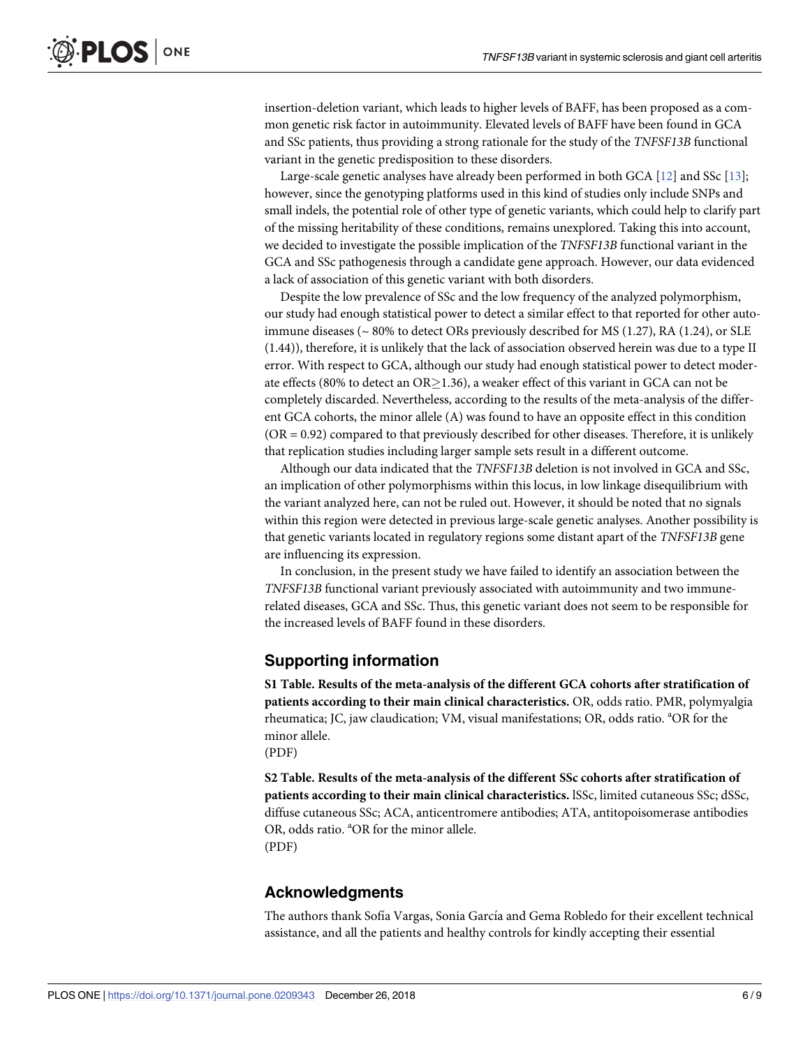<span id="page-5-0"></span>insertion-deletion variant, which leads to higher levels of BAFF, has been proposed as a common genetic risk factor in autoimmunity. Elevated levels of BAFF have been found in GCA and SSc patients, thus providing a strong rationale for the study of the *TNFSF13B* functional variant in the genetic predisposition to these disorders.

Large-scale genetic analyses have already been performed in both GCA [\[12\]](#page-8-0) and SSc [\[13\]](#page-8-0); however, since the genotyping platforms used in this kind of studies only include SNPs and small indels, the potential role of other type of genetic variants, which could help to clarify part of the missing heritability of these conditions, remains unexplored. Taking this into account, we decided to investigate the possible implication of the *TNFSF13B* functional variant in the GCA and SSc pathogenesis through a candidate gene approach. However, our data evidenced a lack of association of this genetic variant with both disorders.

Despite the low prevalence of SSc and the low frequency of the analyzed polymorphism, our study had enough statistical power to detect a similar effect to that reported for other autoimmune diseases ( $\sim 80\%$  to detect ORs previously described for MS (1.27), RA (1.24), or SLE (1.44)), therefore, it is unlikely that the lack of association observed herein was due to a type II error. With respect to GCA, although our study had enough statistical power to detect moderate effects (80% to detect an  $OR \ge 1.36$ ), a weaker effect of this variant in GCA can not be completely discarded. Nevertheless, according to the results of the meta-analysis of the different GCA cohorts, the minor allele (A) was found to have an opposite effect in this condition (OR = 0.92) compared to that previously described for other diseases. Therefore, it is unlikely that replication studies including larger sample sets result in a different outcome.

Although our data indicated that the *TNFSF13B* deletion is not involved in GCA and SSc, an implication of other polymorphisms within this locus, in low linkage disequilibrium with the variant analyzed here, can not be ruled out. However, it should be noted that no signals within this region were detected in previous large-scale genetic analyses. Another possibility is that genetic variants located in regulatory regions some distant apart of the *TNFSF13B* gene are influencing its expression.

In conclusion, in the present study we have failed to identify an association between the *TNFSF13B* functional variant previously associated with autoimmunity and two immunerelated diseases, GCA and SSc. Thus, this genetic variant does not seem to be responsible for the increased levels of BAFF found in these disorders.

#### **Supporting information**

**S1 [Table.](http://www.plosone.org/article/fetchSingleRepresentation.action?uri=info:doi/10.1371/journal.pone.0209343.s001) Results of the meta-analysis of the different GCA cohorts after stratification of patients according to their main clinical characteristics.** OR, odds ratio. PMR, polymyalgia rheumatica; JC, jaw claudication; VM, visual manifestations; OR, odds ratio. <sup>a</sup>OR for the minor allele.

(PDF)

**S2 [Table.](http://www.plosone.org/article/fetchSingleRepresentation.action?uri=info:doi/10.1371/journal.pone.0209343.s002) Results of the meta-analysis of the different SSc cohorts after stratification of patients according to their main clinical characteristics.** lSSc, limited cutaneous SSc; dSSc, diffuse cutaneous SSc; ACA, anticentromere antibodies; ATA, antitopoisomerase antibodies OR, odds ratio. <sup>a</sup>OR for the minor allele. (PDF)

#### **Acknowledgments**

The authors thank Sofía Vargas, Sonia García and Gema Robledo for their excellent technical assistance, and all the patients and healthy controls for kindly accepting their essential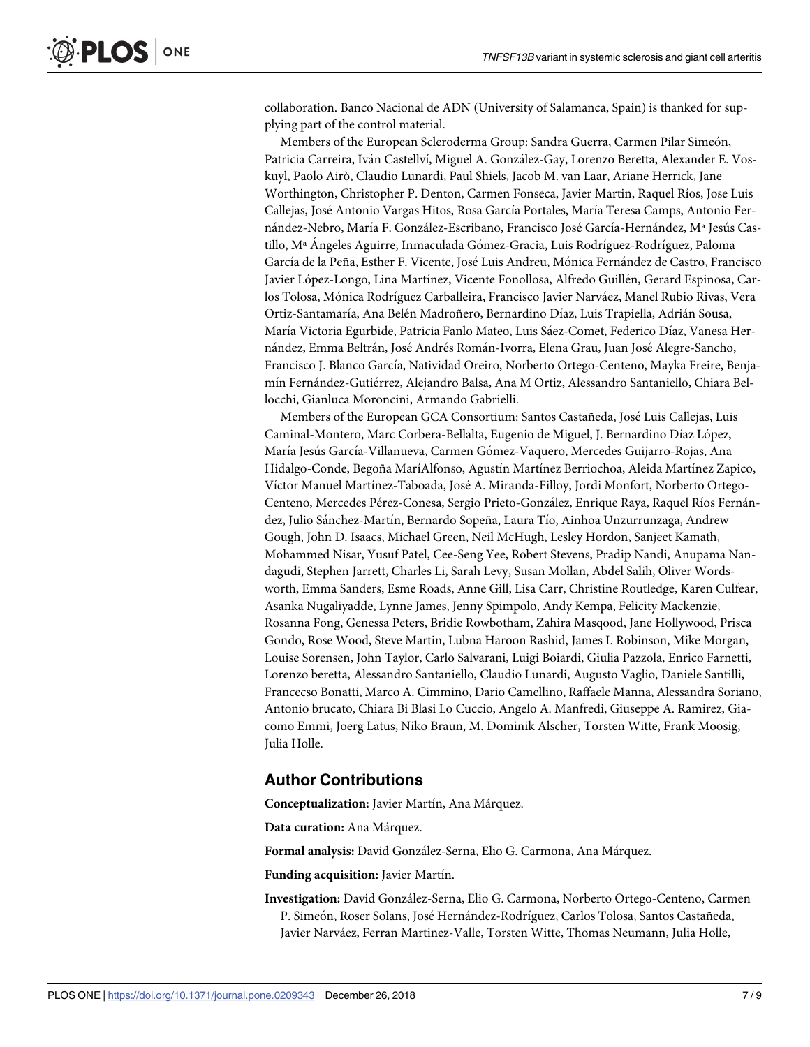collaboration. Banco Nacional de ADN (University of Salamanca, Spain) is thanked for supplying part of the control material.

Members of the European Scleroderma Group: Sandra Guerra, Carmen Pilar Simeón, Patricia Carreira, Iván Castellví, Miguel A. González-Gay, Lorenzo Beretta, Alexander E. Voskuyl, Paolo Airò, Claudio Lunardi, Paul Shiels, Jacob M. van Laar, Ariane Herrick, Jane Worthington, Christopher P. Denton, Carmen Fonseca, Javier Martin, Raquel Ríos, Jose Luis Callejas, José Antonio Vargas Hitos, Rosa García Portales, María Teresa Camps, Antonio Fernández-Nebro, María F. González-Escribano, Francisco José García-Hernández, M<sup>a</sup> Jesús Castillo, M<sup>a</sup> Angeles Aguirre, Inmaculada Gómez-Gracia, Luis Rodríguez-Rodríguez, Paloma García de la Peña, Esther F. Vicente, José Luis Andreu, Mónica Fernández de Castro, Francisco Javier López-Longo, Lina Martínez, Vicente Fonollosa, Alfredo Guillén, Gerard Espinosa, Carlos Tolosa, Mónica Rodríguez Carballeira, Francisco Javier Narváez, Manel Rubio Rivas, Vera Ortiz-Santamaría, Ana Belén Madroñero, Bernardino Díaz, Luis Trapiella, Adrián Sousa, María Victoria Egurbide, Patricia Fanlo Mateo, Luis Sáez-Comet, Federico Díaz, Vanesa Hernández, Emma Beltrán, José Andrés Román-Ivorra, Elena Grau, Juan José Alegre-Sancho, Francisco J. Blanco García, Natividad Oreiro, Norberto Ortego-Centeno, Mayka Freire, Benjamín Fernández-Gutiérrez, Alejandro Balsa, Ana M Ortiz, Alessandro Santaniello, Chiara Bellocchi, Gianluca Moroncini, Armando Gabrielli.

Members of the European GCA Consortium: Santos Castañeda, Jose´ Luis Callejas, Luis Caminal-Montero, Marc Corbera-Bellalta, Eugenio de Miguel, J. Bernardino Díaz López, María Jesús García-Villanueva, Carmen Gómez-Vaquero, Mercedes Guijarro-Rojas, Ana Hidalgo-Conde, Begoña MaríAlfonso, Agustín Martínez Berriochoa, Aleida Martínez Zapico, Víctor Manuel Martínez-Taboada, José A. Miranda-Filloy, Jordi Monfort, Norberto Ortego-Centeno, Mercedes Pérez-Conesa, Sergio Prieto-González, Enrique Raya, Raquel Ríos Fernández, Julio Sánchez-Martín, Bernardo Sopeña, Laura Tío, Ainhoa Unzurrunzaga, Andrew Gough, John D. Isaacs, Michael Green, Neil McHugh, Lesley Hordon, Sanjeet Kamath, Mohammed Nisar, Yusuf Patel, Cee-Seng Yee, Robert Stevens, Pradip Nandi, Anupama Nandagudi, Stephen Jarrett, Charles Li, Sarah Levy, Susan Mollan, Abdel Salih, Oliver Wordsworth, Emma Sanders, Esme Roads, Anne Gill, Lisa Carr, Christine Routledge, Karen Culfear, Asanka Nugaliyadde, Lynne James, Jenny Spimpolo, Andy Kempa, Felicity Mackenzie, Rosanna Fong, Genessa Peters, Bridie Rowbotham, Zahira Masqood, Jane Hollywood, Prisca Gondo, Rose Wood, Steve Martin, Lubna Haroon Rashid, James I. Robinson, Mike Morgan, Louise Sorensen, John Taylor, Carlo Salvarani, Luigi Boiardi, Giulia Pazzola, Enrico Farnetti, Lorenzo beretta, Alessandro Santaniello, Claudio Lunardi, Augusto Vaglio, Daniele Santilli, Francecso Bonatti, Marco A. Cimmino, Dario Camellino, Raffaele Manna, Alessandra Soriano, Antonio brucato, Chiara Bi Blasi Lo Cuccio, Angelo A. Manfredi, Giuseppe A. Ramirez, Giacomo Emmi, Joerg Latus, Niko Braun, M. Dominik Alscher, Torsten Witte, Frank Moosig, Julia Holle.

#### **Author Contributions**

**Conceptualization:** Javier Martín, Ana Márquez.

**Data curation:** Ana Ma´rquez.

Formal analysis: David González-Serna, Elio G. Carmona, Ana Márquez.

**Funding acquisition:** Javier Martin.

**Investigation:** David González-Serna, Elio G. Carmona, Norberto Ortego-Centeno, Carmen P. Simeón, Roser Solans, José Hernández-Rodríguez, Carlos Tolosa, Santos Castañeda, Javier Narváez, Ferran Martinez-Valle, Torsten Witte, Thomas Neumann, Julia Holle,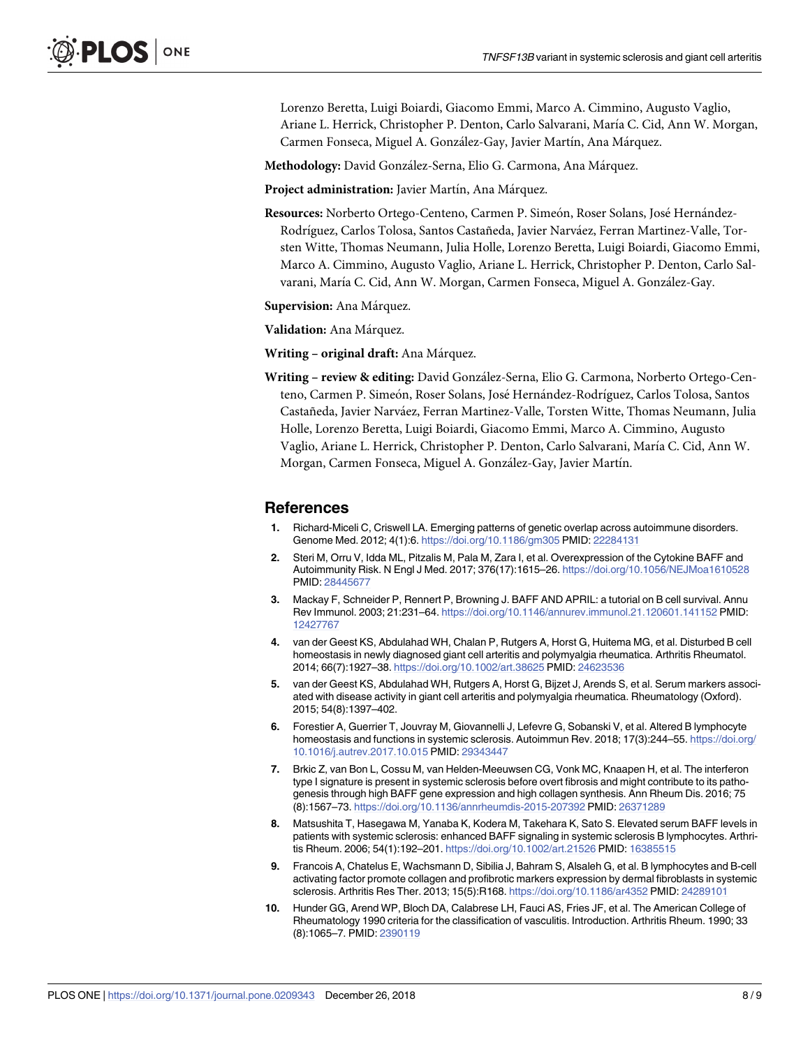<span id="page-7-0"></span>Lorenzo Beretta, Luigi Boiardi, Giacomo Emmi, Marco A. Cimmino, Augusto Vaglio, Ariane L. Herrick, Christopher P. Denton, Carlo Salvarani, María C. Cid, Ann W. Morgan, Carmen Fonseca, Miguel A. González-Gay, Javier Martín, Ana Márquez.

Methodology: David González-Serna, Elio G. Carmona, Ana Márquez.

Project administration: Javier Martín, Ana Márquez.

Resources: Norberto Ortego-Centeno, Carmen P. Simeón, Roser Solans, José Hernández-Rodríguez, Carlos Tolosa, Santos Castañeda, Javier Narváez, Ferran Martinez-Valle, Torsten Witte, Thomas Neumann, Julia Holle, Lorenzo Beretta, Luigi Boiardi, Giacomo Emmi, Marco A. Cimmino, Augusto Vaglio, Ariane L. Herrick, Christopher P. Denton, Carlo Salvarani, María C. Cid, Ann W. Morgan, Carmen Fonseca, Miguel A. González-Gay.

**Supervision:** Ana Márquez.

**Validation:** Ana Ma´rquez.

**Writing – original draft:** Ana Ma´rquez.

**Writing – review & editing:** David Gonza´lez-Serna, Elio G. Carmona, Norberto Ortego-Centeno, Carmen P. Simeón, Roser Solans, José Hernández-Rodríguez, Carlos Tolosa, Santos Castañeda, Javier Narva´ez, Ferran Martinez-Valle, Torsten Witte, Thomas Neumann, Julia Holle, Lorenzo Beretta, Luigi Boiardi, Giacomo Emmi, Marco A. Cimmino, Augusto Vaglio, Ariane L. Herrick, Christopher P. Denton, Carlo Salvarani, Marı´a C. Cid, Ann W. Morgan, Carmen Fonseca, Miguel A. González-Gay, Javier Martín.

#### **References**

- **[1](#page-1-0).** Richard-Miceli C, Criswell LA. Emerging patterns of genetic overlap across autoimmune disorders. Genome Med. 2012; 4(1):6. <https://doi.org/10.1186/gm305> PMID: [22284131](http://www.ncbi.nlm.nih.gov/pubmed/22284131)
- **[2](#page-1-0).** Steri M, Orru V, Idda ML, Pitzalis M, Pala M, Zara I, et al. Overexpression of the Cytokine BAFF and Autoimmunity Risk. N Engl J Med. 2017; 376(17):1615–26. <https://doi.org/10.1056/NEJMoa1610528> PMID: [28445677](http://www.ncbi.nlm.nih.gov/pubmed/28445677)
- **[3](#page-1-0).** Mackay F, Schneider P, Rennert P, Browning J. BAFF AND APRIL: a tutorial on B cell survival. Annu Rev Immunol. 2003; 21:231–64. <https://doi.org/10.1146/annurev.immunol.21.120601.141152> PMID: [12427767](http://www.ncbi.nlm.nih.gov/pubmed/12427767)
- **[4](#page-1-0).** van der Geest KS, Abdulahad WH, Chalan P, Rutgers A, Horst G, Huitema MG, et al. Disturbed B cell homeostasis in newly diagnosed giant cell arteritis and polymyalgia rheumatica. Arthritis Rheumatol. 2014; 66(7):1927–38. <https://doi.org/10.1002/art.38625> PMID: [24623536](http://www.ncbi.nlm.nih.gov/pubmed/24623536)
- **[5](#page-1-0).** van der Geest KS, Abdulahad WH, Rutgers A, Horst G, Bijzet J, Arends S, et al. Serum markers associated with disease activity in giant cell arteritis and polymyalgia rheumatica. Rheumatology (Oxford). 2015; 54(8):1397–402.
- **[6](#page-1-0).** Forestier A, Guerrier T, Jouvray M, Giovannelli J, Lefevre G, Sobanski V, et al. Altered B lymphocyte homeostasis and functions in systemic sclerosis. Autoimmun Rev. 2018; 17(3):244–55. [https://doi.org/](https://doi.org/10.1016/j.autrev.2017.10.015) [10.1016/j.autrev.2017.10.015](https://doi.org/10.1016/j.autrev.2017.10.015) PMID: [29343447](http://www.ncbi.nlm.nih.gov/pubmed/29343447)
- **[7](#page-2-0).** Brkic Z, van Bon L, Cossu M, van Helden-Meeuwsen CG, Vonk MC, Knaapen H, et al. The interferon type I signature is present in systemic sclerosis before overt fibrosis and might contribute to its pathogenesis through high BAFF gene expression and high collagen synthesis. Ann Rheum Dis. 2016; 75 (8):1567–73. <https://doi.org/10.1136/annrheumdis-2015-207392> PMID: [26371289](http://www.ncbi.nlm.nih.gov/pubmed/26371289)
- **[8](#page-2-0).** Matsushita T, Hasegawa M, Yanaba K, Kodera M, Takehara K, Sato S. Elevated serum BAFF levels in patients with systemic sclerosis: enhanced BAFF signaling in systemic sclerosis B lymphocytes. Arthritis Rheum. 2006; 54(1):192–201. <https://doi.org/10.1002/art.21526> PMID: [16385515](http://www.ncbi.nlm.nih.gov/pubmed/16385515)
- **[9](#page-2-0).** Francois A, Chatelus E, Wachsmann D, Sibilia J, Bahram S, Alsaleh G, et al. B lymphocytes and B-cell activating factor promote collagen and profibrotic markers expression by dermal fibroblasts in systemic sclerosis. Arthritis Res Ther. 2013; 15(5):R168. <https://doi.org/10.1186/ar4352> PMID: [24289101](http://www.ncbi.nlm.nih.gov/pubmed/24289101)
- **[10](#page-3-0).** Hunder GG, Arend WP, Bloch DA, Calabrese LH, Fauci AS, Fries JF, et al. The American College of Rheumatology 1990 criteria for the classification of vasculitis. Introduction. Arthritis Rheum. 1990; 33 (8):1065–7. PMID: [2390119](http://www.ncbi.nlm.nih.gov/pubmed/2390119)